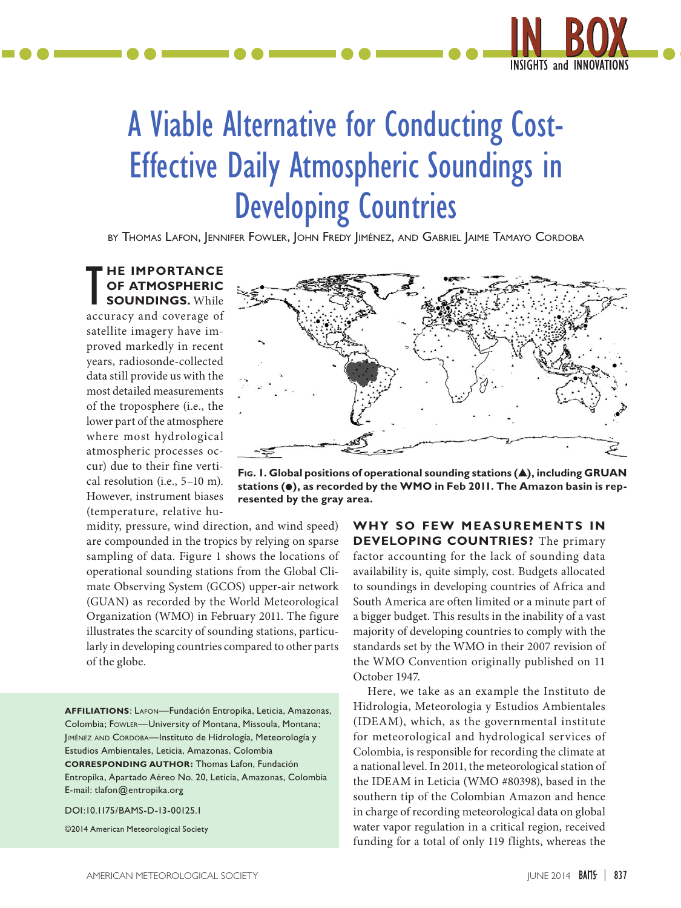

# A Viable Alternative for Conducting Cost-Effective Daily Atmospheric Soundings in Developing Countries

by Thomas Lafon, Jennifer Fowler, John Fredy Jiménez, and Gabriel Jaime Tamayo Cordoba

## THE IMPORTANCE<br>
OF ATMOSPHERIC<br>
sOUNDINGS. While<br>
accuracy and coverage of **HE IMPORTANCE OF ATMOSPHERIC SOUNDINGS.** While

satellite imagery have improved markedly in recent years, radiosonde-collected data still provide us with the most detailed measurements of the troposphere (i.e., the lower part of the atmosphere where most hydrological atmospheric processes occur) due to their fine vertical resolution (i.e., 5–10 m). However, instrument biases (temperature, relative hu-



**Fig. 1. Global positions of operational sounding stations (), including GRUAN stations (), as recorded by the WMO in Feb 2011. The Amazon basin is represented by the gray area.**

midity, pressure, wind direction, and wind speed) are compounded in the tropics by relying on sparse sampling of data. Figure 1 shows the locations of operational sounding stations from the Global Climate Observing System (GCOS) upper-air network (GUAN) as recorded by the World Meteorological Organization (WMO) in February 2011. The figure illustrates the scarcity of sounding stations, particularly in developing countries compared to other parts of the globe.

**AFFILIATIONS**: Lafon—Fundación Entropika, Leticia, Amazonas, Colombia; Fowler—University of Montana, Missoula, Montana; JIMÉNEZ AND CORDOBA-lnstituto de Hidrología, Meteorología y Estudios Ambientales, Leticia, Amazonas, Colombia **CORRESPONDING AUTHOR:** Thomas Lafon, Fundación Entropika, Apartado Aéreo No. 20, Leticia, Amazonas, Colombia E-mail: [tlafon@entropika.org](mailto:www.gpsboomerang.com?subject=)

[DOI:10.1175/BAMS-D-13-00125.1](http://dx.doi.org/10.1175/BAMS-D-13-00125.1)

©2014 American Meteorological Society

**WHY SO FEW MEASUREMENTS IN DEVELOPING COUNTRIES?** The primary factor accounting for the lack of sounding data availability is, quite simply, cost. Budgets allocated to soundings in developing countries of Africa and South America are often limited or a minute part of a bigger budget. This results in the inability of a vast majority of developing countries to comply with the standards set by the WMO in their 2007 revision of the WMO Convention originally published on 11 October 1947.

Here, we take as an example the Instituto de Hidrologia, Meteorologia y Estudios Ambientales (IDEAM), which, as the governmental institute for meteorological and hydrological services of Colombia, is responsible for recording the climate at a national level. In 2011, the meteorological station of the IDEAM in Leticia (WMO #80398), based in the southern tip of the Colombian Amazon and hence in charge of recording meteorological data on global water vapor regulation in a critical region, received funding for a total of only 119 flights, whereas the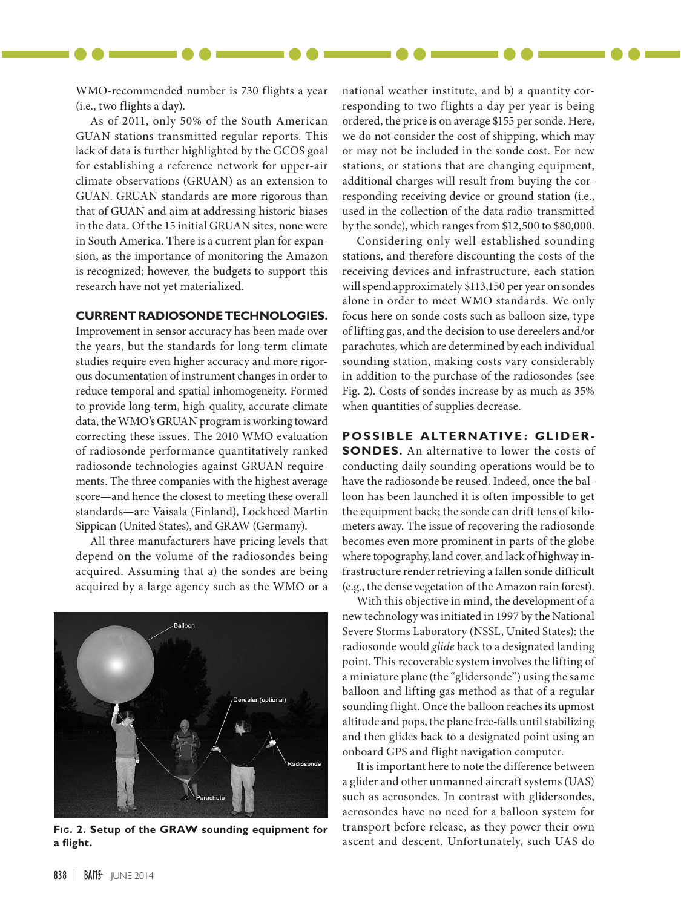WMO-recommended number is 730 flights a year (i.e., two flights a day).

As of 2011, only 50% of the South American GUAN stations transmitted regular reports. This lack of data is further highlighted by the GCOS goal for establishing a reference network for upper-air climate observations (GRUAN) as an extension to GUAN. GRUAN standards are more rigorous than that of GUAN and aim at addressing historic biases in the data. Of the 15 initial GRUAN sites, none were in South America. There is a current plan for expansion, as the importance of monitoring the Amazon is recognized; however, the budgets to support this research have not yet materialized.

#### **CURRENT RADIOSONDE TECHNOLOGIES.**

Improvement in sensor accuracy has been made over the years, but the standards for long-term climate studies require even higher accuracy and more rigorous documentation of instrument changes in order to reduce temporal and spatial inhomogeneity. Formed to provide long-term, high-quality, accurate climate data, the WMO's GRUAN program is working toward correcting these issues. The 2010 WMO evaluation of radiosonde performance quantitatively ranked radiosonde technologies against GRUAN requirements. The three companies with the highest average score—and hence the closest to meeting these overall standards—are Vaisala (Finland), Lockheed Martin Sippican (United States), and GRAW (Germany).

All three manufacturers have pricing levels that depend on the volume of the radiosondes being acquired. Assuming that a) the sondes are being acquired by a large agency such as the WMO or a



**Fig. 2. Setup of the GRAW sounding equipment for a flight.**

national weather institute, and b) a quantity corresponding to two flights a day per year is being ordered, the price is on average \$155 per sonde. Here, we do not consider the cost of shipping, which may or may not be included in the sonde cost. For new stations, or stations that are changing equipment, additional charges will result from buying the corresponding receiving device or ground station (i.e., used in the collection of the data radio-transmitted by the sonde), which ranges from \$12,500 to \$80,000.

Considering only well-established sounding stations, and therefore discounting the costs of the receiving devices and infrastructure, each station will spend approximately \$113,150 per year on sondes alone in order to meet WMO standards. We only focus here on sonde costs such as balloon size, type of lifting gas, and the decision to use dereelers and/or parachutes, which are determined by each individual sounding station, making costs vary considerably in addition to the purchase of the radiosondes (see Fig. 2). Costs of sondes increase by as much as 35% when quantities of supplies decrease.

### **POSSIBLE ALTERNATIVE: GLIDER-**

**SONDES.** An alternative to lower the costs of conducting daily sounding operations would be to have the radiosonde be reused. Indeed, once the balloon has been launched it is often impossible to get the equipment back; the sonde can drift tens of kilometers away. The issue of recovering the radiosonde becomes even more prominent in parts of the globe where topography, land cover, and lack of highway infrastructure render retrieving a fallen sonde difficult (e.g., the dense vegetation of the Amazon rain forest).

With this objective in mind, the development of a new technology was initiated in 1997 by the National Severe Storms Laboratory (NSSL, United States): the radiosonde would *glide* back to a designated landing point. This recoverable system involves the lifting of a miniature plane (the "glidersonde") using the same balloon and lifting gas method as that of a regular sounding flight. Once the balloon reaches its upmost altitude and pops, the plane free-falls until stabilizing and then glides back to a designated point using an onboard GPS and flight navigation computer.

It is important here to note the difference between a glider and other unmanned aircraft systems (UAS) such as aerosondes. In contrast with glidersondes, aerosondes have no need for a balloon system for transport before release, as they power their own ascent and descent. Unfortunately, such UAS do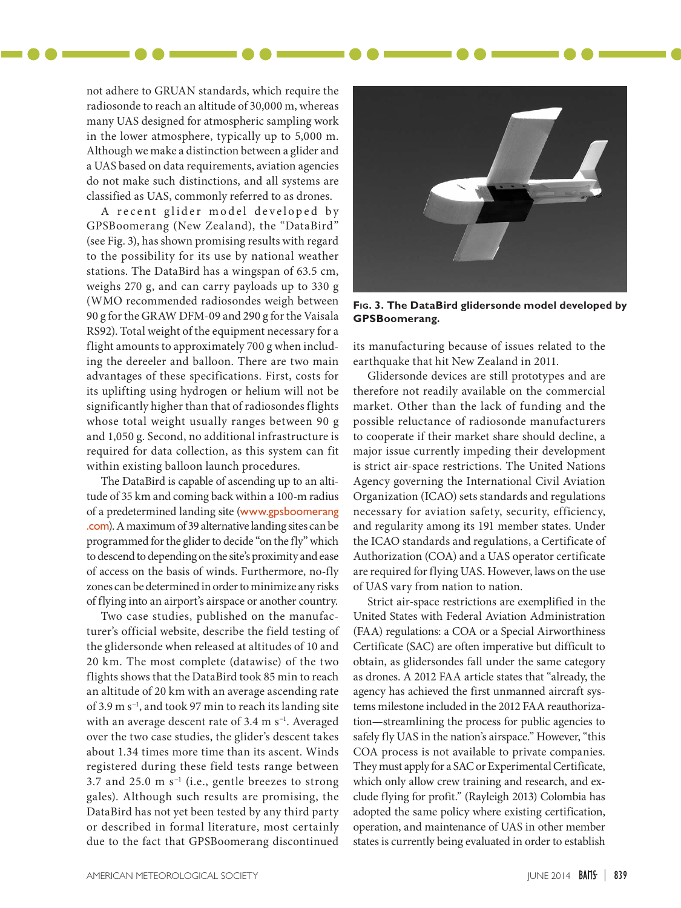not adhere to GRUAN standards, which require the radiosonde to reach an altitude of 30,000 m, whereas many UAS designed for atmospheric sampling work in the lower atmosphere, typically up to 5,000 m. Although we make a distinction between a glider and a UAS based on data requirements, aviation agencies do not make such distinctions, and all systems are classified as UAS, commonly referred to as drones.

A recent glider model developed by GPSBoomerang (New Zealand), the "DataBird" (see Fig. 3), has shown promising results with regard to the possibility for its use by national weather stations. The DataBird has a wingspan of 63.5 cm, weighs 270 g, and can carry payloads up to 330 g (WMO recommended radiosondes weigh between 90 g for the GRAW DFM-09 and 290 g for the Vaisala RS92). Total weight of the equipment necessary for a flight amounts to approximately 700 g when including the dereeler and balloon. There are two main advantages of these specifications. First, costs for its uplifting using hydrogen or helium will not be significantly higher than that of radiosondes flights whose total weight usually ranges between 90 g and 1,050 g. Second, no additional infrastructure is required for data collection, as this system can fit within existing balloon launch procedures.

The DataBird is capable of ascending up to an altitude of 35 km and coming back within a 100-m radius of a predetermined landing site ([www.gpsboomerang](http://www.gpsboomerang.com) [.com](http://www.gpsboomerang.com)). A maximum of 39 alternative landing sites can be programmed for the glider to decide "on the fly" which to descend to depending on the site's proximity and ease of access on the basis of winds. Furthermore, no-fly zones can be determined in order to minimize any risks of flying into an airport's airspace or another country.

Two case studies, published on the manufacturer's official website, describe the field testing of the glidersonde when released at altitudes of 10 and 20 km. The most complete (datawise) of the two flights shows that the DataBird took 85 min to reach an altitude of 20 km with an average ascending rate of 3.9 m s<sup>-1</sup>, and took 97 min to reach its landing site with an average descent rate of 3.4 m s<sup>-1</sup>. Averaged over the two case studies, the glider's descent takes about 1.34 times more time than its ascent. Winds registered during these field tests range between 3.7 and 25.0  $m s^{-1}$  (i.e., gentle breezes to strong gales). Although such results are promising, the DataBird has not yet been tested by any third party or described in formal literature, most certainly due to the fact that GPSBoomerang discontinued



**Fig. 3. The DataBird glidersonde model developed by GPSBoomerang.**

its manufacturing because of issues related to the earthquake that hit New Zealand in 2011.

Glidersonde devices are still prototypes and are therefore not readily available on the commercial market. Other than the lack of funding and the possible reluctance of radiosonde manufacturers to cooperate if their market share should decline, a major issue currently impeding their development is strict air-space restrictions. The United Nations Agency governing the International Civil Aviation Organization (ICAO) sets standards and regulations necessary for aviation safety, security, efficiency, and regularity among its 191 member states. Under the ICAO standards and regulations, a Certificate of Authorization (COA) and a UAS operator certificate are required for flying UAS. However, laws on the use of UAS vary from nation to nation.

Strict air-space restrictions are exemplified in the United States with Federal Aviation Administration (FAA) regulations: a COA or a Special Airworthiness Certificate (SAC) are often imperative but difficult to obtain, as glidersondes fall under the same category as drones. A 2012 FAA article states that "already, the agency has achieved the first unmanned aircraft systems milestone included in the 2012 FAA reauthorization—streamlining the process for public agencies to safely fly UAS in the nation's airspace." However, "this COA process is not available to private companies. They must apply for a SAC or Experimental Certificate, which only allow crew training and research, and exclude flying for profit." (Rayleigh 2013) Colombia has adopted the same policy where existing certification, operation, and maintenance of UAS in other member states is currently being evaluated in order to establish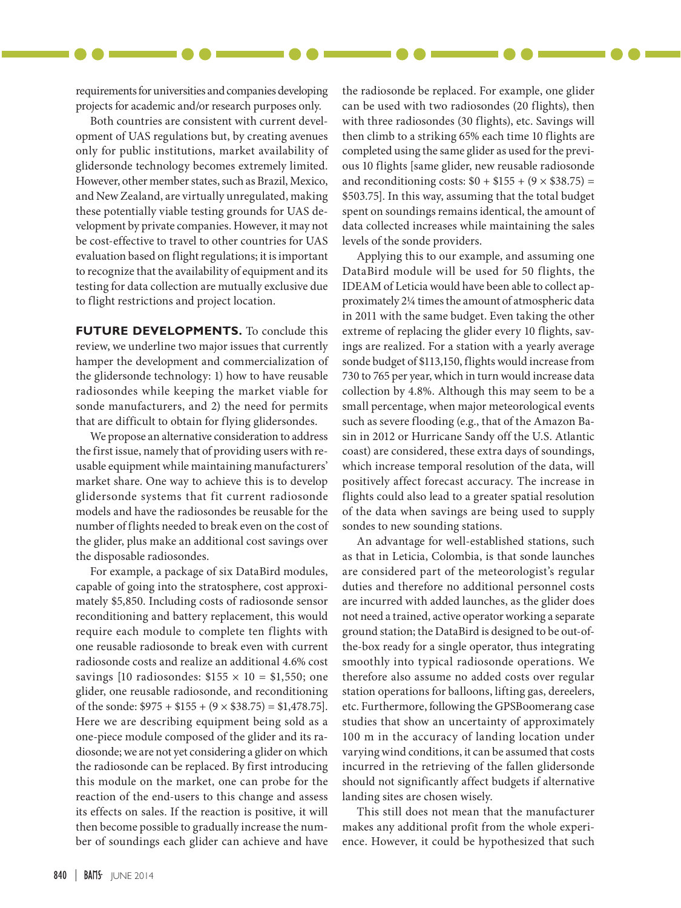requirements for universities and companies developing projects for academic and/or research purposes only.

Both countries are consistent with current development of UAS regulations but, by creating avenues only for public institutions, market availability of glidersonde technology becomes extremely limited. However, other member states, such as Brazil, Mexico, and New Zealand, are virtually unregulated, making these potentially viable testing grounds for UAS development by private companies. However, it may not be cost-effective to travel to other countries for UAS evaluation based on flight regulations; it is important to recognize that the availability of equipment and its testing for data collection are mutually exclusive due to flight restrictions and project location.

**FUTURE DEVELOPMENTS.** To conclude this review, we underline two major issues that currently hamper the development and commercialization of the glidersonde technology: 1) how to have reusable radiosondes while keeping the market viable for sonde manufacturers, and 2) the need for permits that are difficult to obtain for flying glidersondes.

We propose an alternative consideration to address the first issue, namely that of providing users with reusable equipment while maintaining manufacturers' market share. One way to achieve this is to develop glidersonde systems that fit current radiosonde models and have the radiosondes be reusable for the number of flights needed to break even on the cost of the glider, plus make an additional cost savings over the disposable radiosondes.

For example, a package of six DataBird modules, capable of going into the stratosphere, cost approximately \$5,850. Including costs of radiosonde sensor reconditioning and battery replacement, this would require each module to complete ten flights with one reusable radiosonde to break even with current radiosonde costs and realize an additional 4.6% cost savings [10 radiosondes:  $$155 \times 10 = $1,550$ ; one glider, one reusable radiosonde, and reconditioning of the sonde:  $$975 + $155 + (9 \times $38.75) = $1,478.75]$ . Here we are describing equipment being sold as a one-piece module composed of the glider and its radiosonde; we are not yet considering a glider on which the radiosonde can be replaced. By first introducing this module on the market, one can probe for the reaction of the end-users to this change and assess its effects on sales. If the reaction is positive, it will then become possible to gradually increase the number of soundings each glider can achieve and have the radiosonde be replaced. For example, one glider can be used with two radiosondes (20 flights), then with three radiosondes (30 flights), etc. Savings will then climb to a striking 65% each time 10 flights are completed using the same glider as used for the previous 10 flights [same glider, new reusable radiosonde and reconditioning costs:  $$0 + $155 + (9 \times $38.75) =$ \$503.75]. In this way, assuming that the total budget spent on soundings remains identical, the amount of data collected increases while maintaining the sales levels of the sonde providers.

Applying this to our example, and assuming one DataBird module will be used for 50 flights, the IDEAM of Leticia would have been able to collect approximately 2¼ times the amount of atmospheric data in 2011 with the same budget. Even taking the other extreme of replacing the glider every 10 flights, savings are realized. For a station with a yearly average sonde budget of \$113,150, flights would increase from 730 to 765 per year, which in turn would increase data collection by 4.8%. Although this may seem to be a small percentage, when major meteorological events such as severe flooding (e.g., that of the Amazon Basin in 2012 or Hurricane Sandy off the U.S. Atlantic coast) are considered, these extra days of soundings, which increase temporal resolution of the data, will positively affect forecast accuracy. The increase in flights could also lead to a greater spatial resolution of the data when savings are being used to supply sondes to new sounding stations.

An advantage for well-established stations, such as that in Leticia, Colombia, is that sonde launches are considered part of the meteorologist's regular duties and therefore no additional personnel costs are incurred with added launches, as the glider does not need a trained, active operator working a separate ground station; the DataBird is designed to be out-ofthe-box ready for a single operator, thus integrating smoothly into typical radiosonde operations. We therefore also assume no added costs over regular station operations for balloons, lifting gas, dereelers, etc. Furthermore, following the GPSBoomerang case studies that show an uncertainty of approximately 100 m in the accuracy of landing location under varying wind conditions, it can be assumed that costs incurred in the retrieving of the fallen glidersonde should not significantly affect budgets if alternative landing sites are chosen wisely.

This still does not mean that the manufacturer makes any additional profit from the whole experience. However, it could be hypothesized that such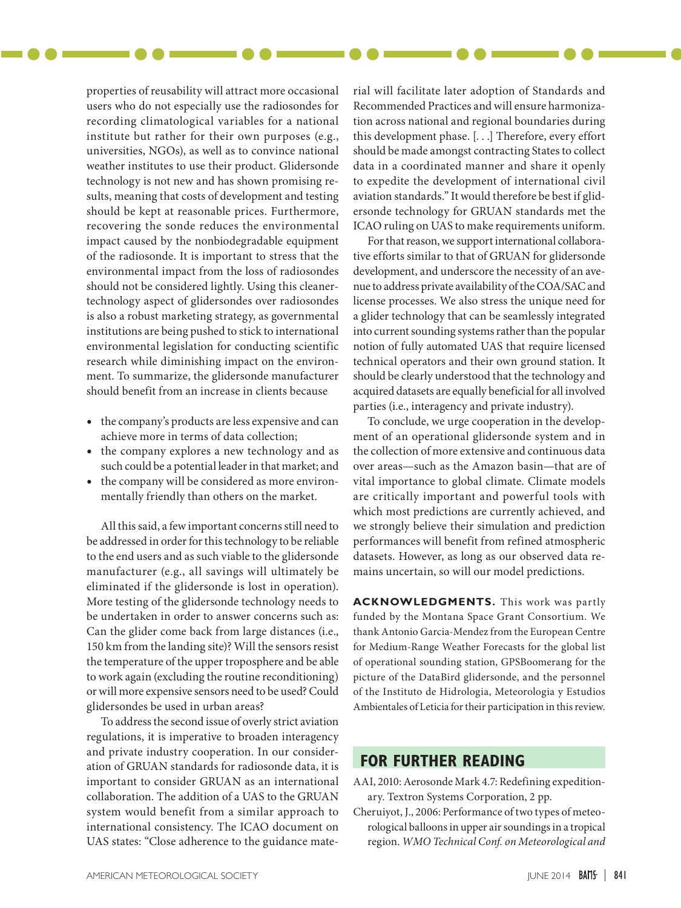properties of reusability will attract more occasional users who do not especially use the radiosondes for recording climatological variables for a national institute but rather for their own purposes (e.g., universities, NGOs), as well as to convince national weather institutes to use their product. Glidersonde technology is not new and has shown promising results, meaning that costs of development and testing should be kept at reasonable prices. Furthermore, recovering the sonde reduces the environmental impact caused by the nonbiodegradable equipment of the radiosonde. It is important to stress that the environmental impact from the loss of radiosondes should not be considered lightly. Using this cleanertechnology aspect of glidersondes over radiosondes is also a robust marketing strategy, as governmental institutions are being pushed to stick to international environmental legislation for conducting scientific research while diminishing impact on the environment. To summarize, the glidersonde manufacturer should benefit from an increase in clients because

- the company's products are less expensive and can achieve more in terms of data collection;
- the company explores a new technology and as such could be a potential leader in that market; and
- the company will be considered as more environmentally friendly than others on the market.

All this said, a few important concerns still need to be addressed in order for this technology to be reliable to the end users and as such viable to the glidersonde manufacturer (e.g., all savings will ultimately be eliminated if the glidersonde is lost in operation). More testing of the glidersonde technology needs to be undertaken in order to answer concerns such as: Can the glider come back from large distances (i.e., 150 km from the landing site)? Will the sensors resist the temperature of the upper troposphere and be able to work again (excluding the routine reconditioning) or will more expensive sensors need to be used? Could glidersondes be used in urban areas?

To address the second issue of overly strict aviation regulations, it is imperative to broaden interagency and private industry cooperation. In our consideration of GRUAN standards for radiosonde data, it is important to consider GRUAN as an international collaboration. The addition of a UAS to the GRUAN system would benefit from a similar approach to international consistency. The ICAO document on UAS states: "Close adherence to the guidance mate-

rial will facilitate later adoption of Standards and Recommended Practices and will ensure harmonization across national and regional boundaries during this development phase. [. . .] Therefore, every effort should be made amongst contracting States to collect data in a coordinated manner and share it openly to expedite the development of international civil aviation standards." It would therefore be best if glidersonde technology for GRUAN standards met the ICAO ruling on UAS to make requirements uniform.

For that reason, we support international collaborative efforts similar to that of GRUAN for glidersonde development, and underscore the necessity of an avenue to address private availability of the COA/SAC and license processes. We also stress the unique need for a glider technology that can be seamlessly integrated into current sounding systems rather than the popular notion of fully automated UAS that require licensed technical operators and their own ground station. It should be clearly understood that the technology and acquired datasets are equally beneficial for all involved parties (i.e., interagency and private industry).

To conclude, we urge cooperation in the development of an operational glidersonde system and in the collection of more extensive and continuous data over areas—such as the Amazon basin—that are of vital importance to global climate. Climate models are critically important and powerful tools with which most predictions are currently achieved, and we strongly believe their simulation and prediction performances will benefit from refined atmospheric datasets. However, as long as our observed data remains uncertain, so will our model predictions.

**ACKNOWLEDGMENTS.** This work was partly funded by the Montana Space Grant Consortium. We thank Antonio Garcia-Mendez from the European Centre for Medium-Range Weather Forecasts for the global list of operational sounding station, GPSBoomerang for the picture of the DataBird glidersonde, and the personnel of the Instituto de Hidrologia, Meteorologia y Estudios Ambientales of Leticia for their participation in this review.

## **FOR FURTHER READING**

- AAI, 2010: Aerosonde Mark 4.7: Redefining expeditionary. Textron Systems Corporation, 2 pp.
- Cheruiyot, J., 2006: Performance of two types of meteorological balloons in upper air soundings in a tropical region. *WMO Technical Conf. on Meteorological and*